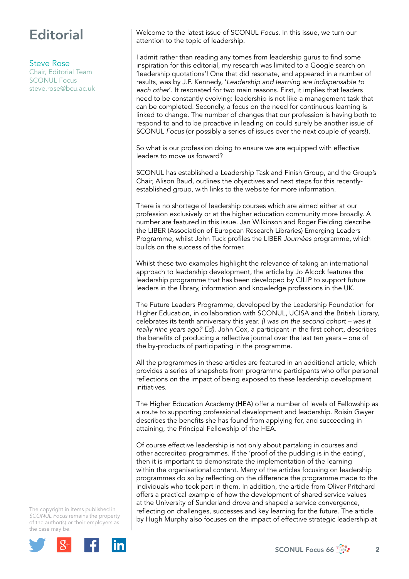## **Editorial**

## Steve Rose

Chair, Editorial Team SCONUL Focus [steve.rose@bcu.ac.uk](mailto:steve.rose@bcu.ac.uk) Welcome to the latest issue of SCONUL *Focus*. In this issue, we turn our attention to the topic of leadership.

I admit rather than reading any tomes from leadership gurus to find some inspiration for this editorial, my research was limited to a Google search on 'leadership quotations'! One that did resonate, and appeared in a number of results, was by J.F. Kennedy, '*Leadership and learning are indispensable to each other*'. It resonated for two main reasons. First, it implies that leaders need to be constantly evolving: leadership is not like a management task that can be completed. Secondly, a focus on the need for continuous learning is linked to change. The number of changes that our profession is having both to respond to and to be proactive in leading on could surely be another issue of SCONUL *Focus* (or possibly a series of issues over the next couple of years!).

So what is our profession doing to ensure we are equipped with effective leaders to move us forward?

SCONUL has established a Leadership Task and Finish Group, and the Group's Chair, Alison Baud, outlines the objectives and next steps for this recentlyestablished group, with links to the website for more information.

There is no shortage of leadership courses which are aimed either at our profession exclusively or at the higher education community more broadly. A number are featured in this issue. Jan Wilkinson and Roger Fielding describe the LIBER (Association of European Research Libraries) Emerging Leaders Programme, whilst John Tuck profiles the LIBER *Journées* programme, which builds on the success of the former.

Whilst these two examples highlight the relevance of taking an international approach to leadership development, the article by Jo Alcock features the leadership programme that has been developed by CILIP to support future leaders in the library, information and knowledge professions in the UK.

The Future Leaders Programme, developed by the Leadership Foundation for Higher Education, in collaboration with SCONUL, UCISA and the British Library, celebrates its tenth anniversary this year. *(I was on the second cohort – was it really nine years ago? Ed)*. John Cox, a participant in the first cohort, describes the benefits of producing a reflective journal over the last ten years – one of the by-products of participating in the programme.

All the programmes in these articles are featured in an additional article, which provides a series of snapshots from programme participants who offer personal reflections on the impact of being exposed to these leadership development initiatives.

The Higher Education Academy (HEA) offer a number of levels of Fellowship as a route to supporting professional development and leadership. Roisin Gwyer describes the benefits she has found from applying for, and succeeding in attaining, the Principal Fellowship of the HEA.

Of course effective leadership is not only about partaking in courses and other accredited programmes. If the 'proof of the pudding is in the eating', then it is important to demonstrate the implementation of the learning within the organisational content. Many of the articles focusing on leadership programmes do so by reflecting on the difference the programme made to the individuals who took part in them. In addition, the article from Oliver Pritchard offers a practical example of how the development of shared service values at the University of Sunderland drove and shaped a service convergence, reflecting on challenges, successes and key learning for the future. The article by Hugh Murphy also focuses on the impact of effective strategic leadership at

The copyright in items published in *SCONUL Focus* remains the property of the author(s) or their employers as the case may be.